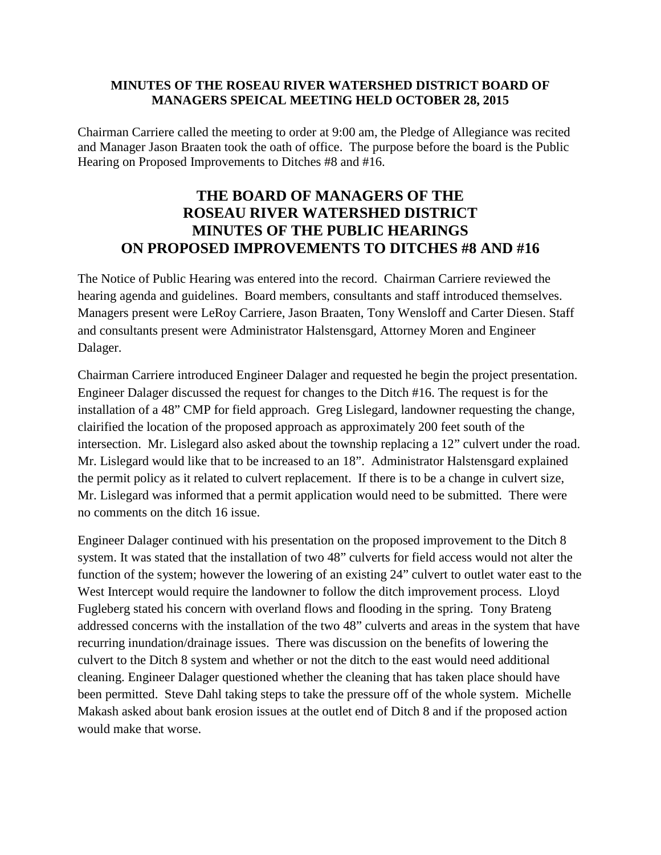## **MINUTES OF THE ROSEAU RIVER WATERSHED DISTRICT BOARD OF MANAGERS SPEICAL MEETING HELD OCTOBER 28, 2015**

Chairman Carriere called the meeting to order at 9:00 am, the Pledge of Allegiance was recited and Manager Jason Braaten took the oath of office. The purpose before the board is the Public Hearing on Proposed Improvements to Ditches #8 and #16.

## **THE BOARD OF MANAGERS OF THE ROSEAU RIVER WATERSHED DISTRICT MINUTES OF THE PUBLIC HEARINGS ON PROPOSED IMPROVEMENTS TO DITCHES #8 AND #16**

The Notice of Public Hearing was entered into the record. Chairman Carriere reviewed the hearing agenda and guidelines. Board members, consultants and staff introduced themselves. Managers present were LeRoy Carriere, Jason Braaten, Tony Wensloff and Carter Diesen. Staff and consultants present were Administrator Halstensgard, Attorney Moren and Engineer Dalager.

Chairman Carriere introduced Engineer Dalager and requested he begin the project presentation. Engineer Dalager discussed the request for changes to the Ditch #16. The request is for the installation of a 48" CMP for field approach. Greg Lislegard, landowner requesting the change, clairified the location of the proposed approach as approximately 200 feet south of the intersection. Mr. Lislegard also asked about the township replacing a 12" culvert under the road. Mr. Lislegard would like that to be increased to an 18". Administrator Halstensgard explained the permit policy as it related to culvert replacement. If there is to be a change in culvert size, Mr. Lislegard was informed that a permit application would need to be submitted. There were no comments on the ditch 16 issue.

Engineer Dalager continued with his presentation on the proposed improvement to the Ditch 8 system. It was stated that the installation of two 48" culverts for field access would not alter the function of the system; however the lowering of an existing 24" culvert to outlet water east to the West Intercept would require the landowner to follow the ditch improvement process. Lloyd Fugleberg stated his concern with overland flows and flooding in the spring. Tony Brateng addressed concerns with the installation of the two 48" culverts and areas in the system that have recurring inundation/drainage issues. There was discussion on the benefits of lowering the culvert to the Ditch 8 system and whether or not the ditch to the east would need additional cleaning. Engineer Dalager questioned whether the cleaning that has taken place should have been permitted. Steve Dahl taking steps to take the pressure off of the whole system. Michelle Makash asked about bank erosion issues at the outlet end of Ditch 8 and if the proposed action would make that worse.